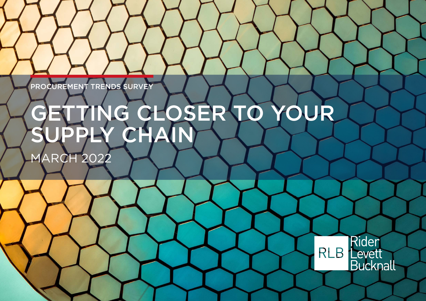PROCUREMENT TRENDS SURVEY

# GETTING CLOSER TO YOUR SUPPLY CHAIN

**MARCH 2022** 

Rider **RLB** Levett **Bucknall**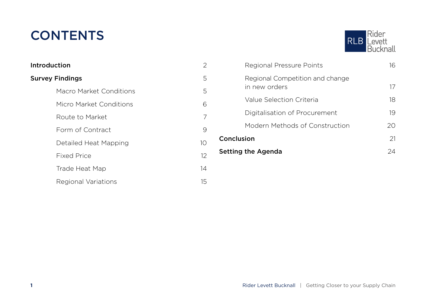### **CONTENTS**

| Introduction            | 2  |
|-------------------------|----|
| <b>Survey Findings</b>  |    |
| Macro Market Conditions | 5  |
| Micro Market Conditions | 6  |
| Route to Market         | 7  |
| Form of Contract        | 9  |
| Detailed Heat Mapping   | 10 |
| <b>Fixed Price</b>      | 12 |
| Trade Heat Map          | 14 |
| Regional Variations     | 15 |



|                    | in new orders                  | 17 |
|--------------------|--------------------------------|----|
|                    | Value Selection Criteria       | 18 |
|                    | Digitalisation of Procurement  | 19 |
|                    | Modern Methods of Construction | 20 |
| Conclusion         |                                | 21 |
| Setting the Agenda |                                | 24 |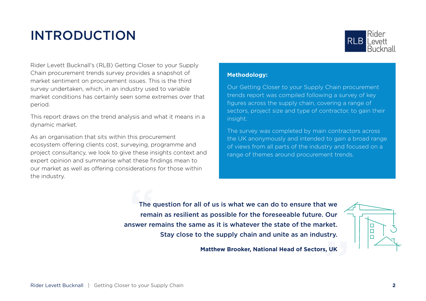### <span id="page-2-0"></span>INTRODUCTION



Rider Levett Bucknall's (RLB) Getting Closer to your Supply Chain procurement trends survey provides a snapshot of market sentiment on procurement issues. This is the third survey undertaken, which, in an industry used to variable market conditions has certainly seen some extremes over that period.

This report draws on the trend analysis and what it means in a dynamic market.

As an organisation that sits within this procurement ecosystem offering clients cost, surveying, programme and project consultancy, we look to give these insights context and expert opinion and summarise what these findings mean to our market as well as offering considerations for those within the industry.

#### **Methodology:**

Our Getting Closer to your Supply Chain procurement trends report was compiled following a survey of key figures across the supply chain, covering a range of sectors, project size and type of contractor, to gain their insight.

The survey was completed by main contractors across the UK anonymously and intended to gain a broad range of views from all parts of the industry and focused on a range of themes around procurement trends.

The c<br>rema<br>nswer re The question for all of us is what we can do to ensure that we remain as resilient as possible for the foreseeable future. Our answer remains the same as it is whatever the state of the market. Stay close to the supply chain and unite as an industry.

**Matthew Brooker, National Head of Sectors, UK**

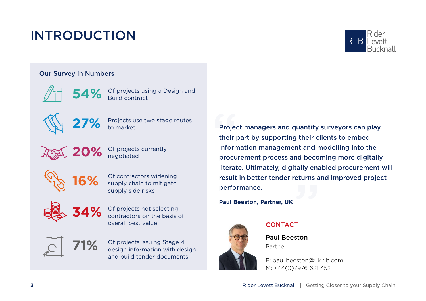### INTRODUCTION



### Our Survey in Numbers

54% Of projects using a Design and **54%** Build contract



Projects use two stage routes<br>to market



Of projects currently<br> **negotiated** 



Of contractors widening supply chain to mitigate supply side risks



Of projects not selecting contractors on the basis of overall best value



Of projects issuing Stage 4 design information with design and build tender documents

eturns a<br>T Projed<br>their<br>inform<br>procu Project managers and quantity surveyors can play their part by supporting their clients to embed information management and modelling into the procurement process and becoming more digitally literate. Ultimately, digitally enabled procurement will result in better tender returns and improved project performance.

**Paul Beeston, Partner, UK**



### **CONTACT**

Paul Beeston Partner

E: paul.beeston@uk.rlb.com M: +44(0)7976 621 452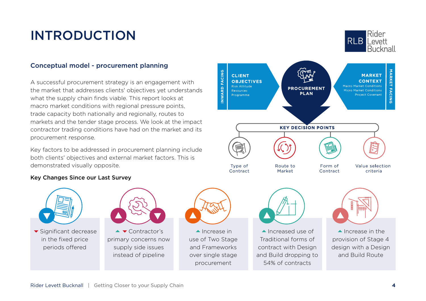### INTRODUCTION

#### Conceptual model - procurement planning

A successful procurement strategy is an engagement with the market that addresses clients' objectives yet understands what the supply chain finds viable. This report looks at macro market conditions with regional pressure points, trade capacity both nationally and regionally, routes to markets and the tender stage process. We look at the impact contractor trading conditions have had on the market and its procurement response.

Key factors to be addressed in procurement planning include both clients' objectives and external market factors. This is demonstrated visually opposite.

#### Key Changes Since our Last Survey



periods offered



 $\blacktriangle$   $\blacktriangledown$  Contractor's primary concerns now supply side issues instead of pipeline



 $\blacktriangle$  Increase in use of Two Stage and Frameworks over single stage procurement



Rider

Levett **Bucknall** 

 $RIR$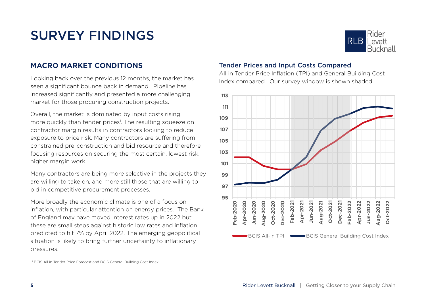

### <span id="page-5-0"></span>**MACRO MARKET CONDITIONS**

Looking back over the previous 12 months, the market has seen a significant bounce back in demand. Pipeline has increased significantly and presented a more challenging market for those procuring construction projects.

Overall, the market is dominated by input costs rising more quickly than tender prices<sup>1</sup>. The resulting squeeze on contractor margin results in contractors looking to reduce exposure to price risk. Many contractors are suffering from constrained pre-construction and bid resource and therefore focusing resources on securing the most certain, lowest risk, higher margin work.

Many contractors are being more selective in the projects they are willing to take on, and more still those that are willing to bid in competitive procurement processes.

More broadly the economic climate is one of a focus on inflation, with particular attention on energy prices. The Bank of England may have moved interest rates up in 2022 but these are small steps against historic low rates and inflation predicted to hit 7% by April 2022. The emerging geopolitical situation is likely to bring further uncertainty to inflationary pressures.

1 BCIS All in Tender Price Forecast and BCIS General Building Cost Index.

#### Tender Prices and Input Costs Compared

All in Tender Price Inflation (TPI) and General Building Cost Index compared. Our survey window is shown shaded.

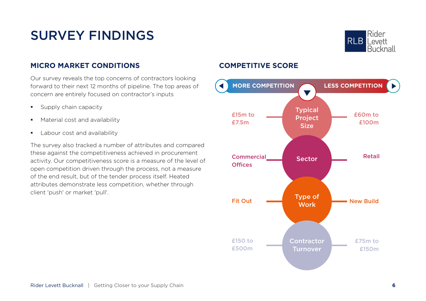

### **MICRO MARKET CONDITIONS**

Our survey reveals the top concerns of contractors looking forward to their next 12 months of pipeline. The top areas of concern are entirely focused on contractor's inputs

- **Supply chain capacity**
- **Material cost and availability**
- **Labour cost and availability**

The survey also tracked a number of attributes and compared these against the competitiveness achieved in procurement activity. Our competitiveness score is a measure of the level of open competition driven through the process, not a measure of the end result, but of the tender process itself. Heated attributes demonstrate less competition, whether through client 'push' or market 'pull'.

### **COMPETITIVE SCORE**

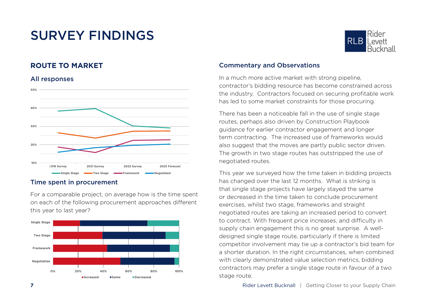### **ROUTE TO MARKET**

#### All responses



#### Time spent in procurement

For a comparable project, on average how is the time spent on each of the following procurement approaches different this year to last year?





#### Commentary and Observations

In a much more active market with strong pipeline, contractor's bidding resource has become constrained across the industry. Contractors focused on securing profitable work has led to some market constraints for those procuring.

There has been a noticeable fall in the use of single stage routes, perhaps also driven by Construction Playbook guidance for earlier contractor engagement and longer term contracting. The increased use of frameworks would also suggest that the moves are partly public sector driven. The growth in two stage routes has outstripped the use of negotiated routes.

This year we surveyed how the time taken in bidding projects has changed over the last 12 months. What is striking is that single stage projects have largely stayed the same or decreased in the time taken to conclude procurement exercises, whilst two stage, frameworks and straight negotiated routes are taking an increased period to convert to contract. With frequent price increases, and difficulty in supply chain engagement this is no great surprise. A welldesigned single stage route, particularly if there is limited competitor involvement may tie up a contractor's bid team for a shorter duration. In the right circumstances, when combined with clearly demonstrated value selection metrics, bidding contractors may prefer a single stage route in favour of a two stage route.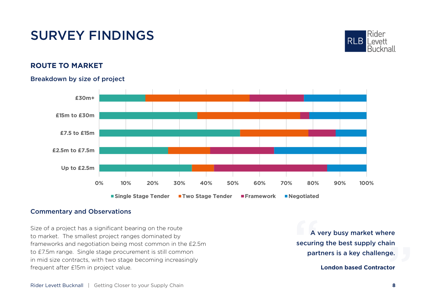

### **ROUTE TO MARKET**

#### Breakdown by size of project



#### Commentary and Observations

Size of a project has a significant bearing on the route to market. The smallest project ranges dominated by frameworks and negotiation being most common in the £2.5m to £7.5m range. Single stage procurement is still common in mid size contracts, with two stage becoming increasingly frequent after £15m in project value.

ain<br>ge.<br>tor<br>8 A \<br>securin<br>part A very busy market where securing the best supply chain partners is a key challenge.

**London based Contractor**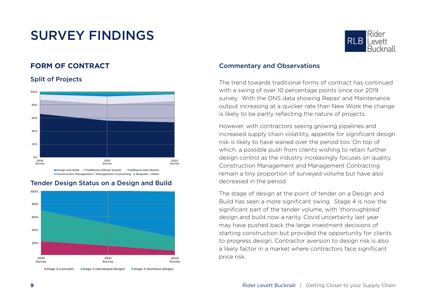### **FORM OF CONTRACT**

Split of Projects

#### **0% 20% 40% 60% 80% 100% 2019 Survey 2021 Survey 2022 Survey**

**Design and Build Traditional without Quants Traditional with Quants E Construction Management / Management Contracting E Bespoke / Other** 



#### Tender Design Status on a Design and Build



#### Commentary and Observations

The trend towards traditional forms of contract has continued with a swing of over 10 percentage points since our 2019 survey. With the ONS data showing Repair and Maintenance output increasing at a quicker rate than New Work the change is likely to be partly reflecting the nature of projects.

However, with contractors seeing growing pipelines and increased supply chain volatility, appetite for significant design risk is likely to have waned over the period too. On top of which, a possible push from clients wishing to retain further design control as the industry increasingly focuses on quality. Construction Management and Management Contracting remain a tiny proportion of surveyed volume but have also decreased in the period.

The stage of design at the point of tender on a Design and Build has seen a more significant swing. Stage 4 is now the significant part of the tender volume, with 'thoroughbred' design and build now a rarity. Covid uncertainty last year may have pushed back the large investment decisions of starting construction but provided the opportunity for clients to progress design. Contractor aversion to design risk is also a likely factor in a market where contractors face significant price risk.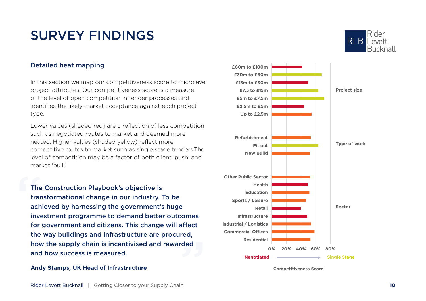#### Detailed heat mapping

In this section we map our competitiveness score to microlevel project attributes. Our competitiveness score is a measure of the level of open competition in tender processes and identifies the likely market acceptance against each project type.

Lower values (shaded red) are a reflection of less competition such as negotiated routes to market and deemed more heated. Higher values (shaded yellow) reflect more competitive routes to market such as single stage tenders.The level of competition may be a factor of both client 'push' and market 'pull'.

reu,<br>ded<br>n The<br>trar<br>ach<br>inve The Construction Playbook's objective is transformational change in our industry. To be achieved by harnessing the government's huge investment programme to demand better outcomes for government and citizens. This change will affect the way buildings and infrastructure are procured, how the supply chain is incentivised and rewarded and how success is measured.

#### **Andy Stamps, UK Head of Infrastructure**



**Competitiveness Score**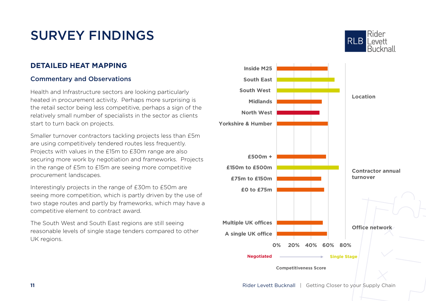### **DETAILED HEAT MAPPING**

### Commentary and Observations

Health and Infrastructure sectors are looking particularly heated in procurement activity. Perhaps more surprising is the retail sector being less competitive, perhaps a sign of the relatively small number of specialists in the sector as clients start to turn back on projects.

Smaller turnover contractors tackling projects less than £5m are using competitively tendered routes less frequently. Projects with values in the £15m to £30m range are also securing more work by negotiation and frameworks. Projects in the range of £5m to £15m are seeing more competitive procurement landscapes.

Interestingly projects in the range of £30m to £50m are seeing more competition, which is partly driven by the use of two stage routes and partly by frameworks, which may have a competitive element to contract award.

The South West and South East regions are still seeing reasonable levels of single stage tenders compared to other UK regions.



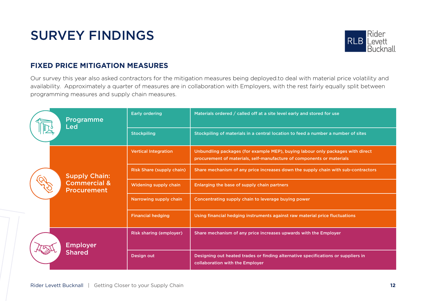

### **FIXED PRICE MITIGATION MEASURES**

Our survey this year also asked contractors for the mitigation measures being deployed.to deal with material price volatility and availability. Approximately a quarter of measures are in collaboration with Employers, with the rest fairly equally split between programming measures and supply chain measures.

| Programme<br>Led | <b>Early ordering</b>                         | Materials ordered / called off at a site level early and stored for use           |                                                                                                                                                         |
|------------------|-----------------------------------------------|-----------------------------------------------------------------------------------|---------------------------------------------------------------------------------------------------------------------------------------------------------|
|                  | <b>Stockpiling</b>                            | Stockpiling of materials in a central location to feed a number a number of sites |                                                                                                                                                         |
|                  |                                               | <b>Vertical Integration</b>                                                       | Unbundling packages (for example MEP), buying labour only packages with direct<br>procurement of materials, self-manufacture of components or materials |
|                  | <b>Supply Chain:</b>                          | Risk Share (supply chain)                                                         | Share mechanism of any price increases down the supply chain with sub-contractors                                                                       |
|                  | <b>Commercial &amp;</b><br><b>Procurement</b> | Widening supply chain                                                             | Enlarging the base of supply chain partners                                                                                                             |
|                  | Narrowing supply chain                        | Concentrating supply chain to leverage buying power                               |                                                                                                                                                         |
|                  | <b>Financial hedging</b>                      | Using financial hedging instruments against raw material price fluctuations       |                                                                                                                                                         |
|                  | <b>Employer</b>                               | <b>Risk sharing (employer)</b>                                                    | Share mechanism of any price increases upwards with the Employer                                                                                        |
|                  | <b>Shared</b>                                 | Design out                                                                        | Designing out heated trades or finding alternative specifications or suppliers in<br>collaboration with the Employer                                    |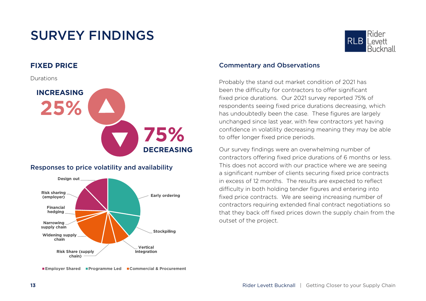### **FIXED PRICE**

Durations



### Responses to price volatility and availability



**Employer Shared Programme Led Commercial & Procurement**



#### Commentary and Observations

Probably the stand out market condition of 2021 has been the difficulty for contractors to offer significant fixed price durations. Our 2021 survey reported 75% of respondents seeing fixed price durations decreasing, which has undoubtedly been the case. These figures are largely unchanged since last year, with few contractors yet having confidence in volatility decreasing meaning they may be able to offer longer fixed price periods.

Our survey findings were an overwhelming number of contractors offering fixed price durations of 6 months or less. This does not accord with our practice where we are seeing a significant number of clients securing fixed price contracts in excess of 12 months. The results are expected to reflect difficulty in both holding tender figures and entering into fixed price contracts. We are seeing increasing number of contractors requiring extended final contract negotiations so that they back off fixed prices down the supply chain from the outset of the project.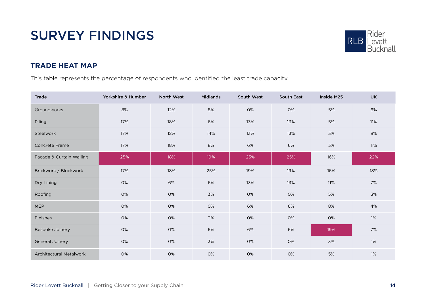

### **TRADE HEAT MAP**

This table represents the percentage of respondents who identified the least trade capacity.

| Trade                          | Yorkshire & Humber | <b>North West</b> | <b>Midlands</b> | South West | <b>South East</b> | Inside M25 | <b>UK</b> |
|--------------------------------|--------------------|-------------------|-----------------|------------|-------------------|------------|-----------|
| Groundworks                    | 8%                 | 12%               | 8%              | 0%         | 0%                | 5%         | 6%        |
| Piling                         | 17%                | 18%               | 6%              | 13%        | 13%               | 5%         | 11%       |
| Steelwork                      | 17%                | 12%               | 14%             | 13%        | 13%               | 3%         | 8%        |
| <b>Concrete Frame</b>          | 17%                | 18%               | 8%              | 6%         | 6%                | 3%         | 11%       |
| Facade & Curtain Walling       | 25%                | 18%               | 19%             | 25%        | 25%               | 16%        | 22%       |
| Brickwork / Blockwork          | 17%                | 18%               | 25%             | 19%        | 19%               | 16%        | 18%       |
| Dry Lining                     | 0%                 | 6%                | 6%              | 13%        | 13%               | 11%        | 7%        |
| Roofing                        | 0%                 | 0%                | 3%              | 0%         | 0%                | 5%         | 3%        |
| <b>MEP</b>                     | 0%                 | 0%                | 0%              | 6%         | 6%                | 8%         | 4%        |
| Finishes                       | 0%                 | 0%                | 3%              | 0%         | 0%                | 0%         | 1%        |
| Bespoke Joinery                | 0%                 | 0%                | 6%              | 6%         | 6%                | 19%        | 7%        |
| General Joinery                | 0%                 | 0%                | 3%              | 0%         | 0%                | 3%         | 1%        |
| <b>Architectural Metalwork</b> | 0%                 | 0%                | 0%              | 0%         | 0%                | 5%         | 1%        |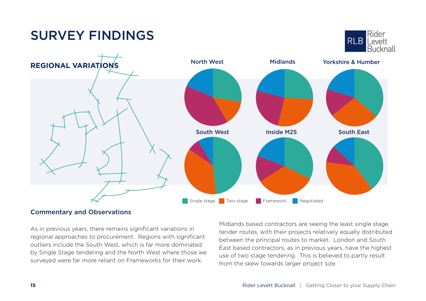# Commentary and Observations Single stage Two-stage Framework Negotiated South West **Inside M25** South East

As in previous years, there remains significant variations in regional approaches to procurement. Regions with significant outliers include the South West, which is far more dominated by Single Stage tendering and the North West where those we surveyed were far more reliant on Frameworks for their work.

Midlands based contractors are seeing the least single stage tender routes, with their projects relatively equally distributed between the principal routes to market. London and South East based contractors, as in previous years, have the highest use of two stage tendering. This is believed to partly result from the skew towards larger project size.

### SURVEY FINDINGS

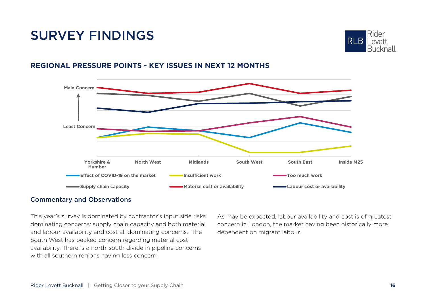

### **REGIONAL PRESSURE POINTS - KEY ISSUES IN NEXT 12 MONTHS**



#### Commentary and Observations

This year's survey is dominated by contractor's input side risks dominating concerns: supply chain capacity and both material and labour availability and cost all dominating concerns. The South West has peaked concern regarding material cost availability. There is a north-south divide in pipeline concerns with all southern regions having less concern.

As may be expected, labour availability and cost is of greatest concern in London, the market having been historically more dependent on migrant labour.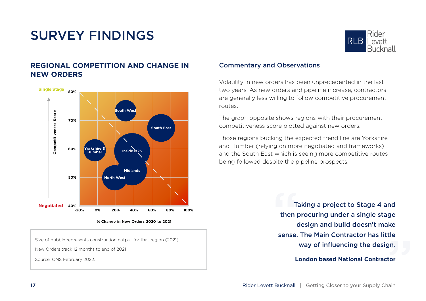



**% Change in New Orders 2020 to 2021**

Size of bubble represents construction output for that region (2021).

New Orders track 12 months to end of 2021

Source: ONS February 2022.



#### Commentary and Observations

Volatility in new orders has been unprecedented in the last two years. As new orders and pipeline increase, contractors are generally less willing to follow competitive procurement routes.

The graph opposite shows regions with their procurement competitiveness score plotted against new orders.

Those regions bucking the expected trend line are Yorkshire and Humber (relying on more negotiated and frameworks) and the South East which is seeing more competitive routes being followed despite the pipeline prospects.

> tle<br>gn.<br>tor  $\frac{1}{16}$ <br>then  $\frac{1}{16}$ Taking a project to Stage 4 and then procuring under a single stage design and build doesn't make sense. The Main Contractor has little way of influencing the design.

#### **London based National Contractor**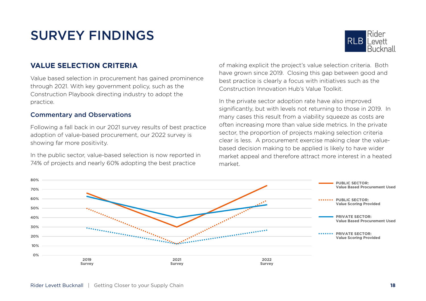

### **VALUE SELECTION CRITERIA**

Value based selection in procurement has gained prominence through 2021. With key government policy, such as the Construction Playbook directing industry to adopt the practice.

#### Commentary and Observations

Following a fall back in our 2021 survey results of best practice adoption of value-based procurement, our 2022 survey is showing far more positivity.

In the public sector, value-based selection is now reported in 74% of projects and nearly 60% adopting the best practice

of making explicit the project's value selection criteria. Both have grown since 2019. Closing this gap between good and best practice is clearly a focus with initiatives such as the Construction Innovation Hub's Value Toolkit.

In the private sector adoption rate have also improved significantly, but with levels not returning to those in 2019. In many cases this result from a viability squeeze as costs are often increasing more than value side metrics. In the private sector, the proportion of projects making selection criteria clear is less. A procurement exercise making clear the valuebased decision making to be applied is likely to have wider market appeal and therefore attract more interest in a heated market.

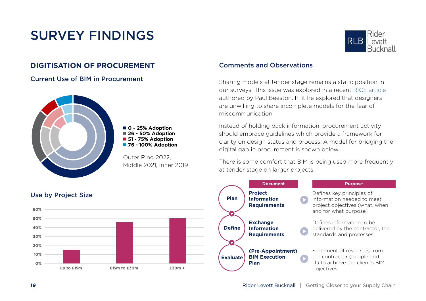### **DIGITISATION OF PROCUREMENT**

Current Use of BIM in Procurement



**0 - 25% Adoption 26 - 50% Adoption 51 - 75% Adoption 76 - 100% Adoption**

Outer Ring 2022, Middle 2021, Inner 2019



#### Comments and Observations

Sharing models at tender stage remains a static position in our surveys. This issue was explored in a recent [RICS article](https://ww3.rics.org/uk/en/journals/construction-journal/why-we-should-use-bim-at-tender-stage.html ) authored by Paul Beeston. In it he explored that designers are unwilling to share incomplete models for the fear of miscommunication.

Instead of holding back information, procurement activity should embrace guidelines which provide a framework for clarity on design status and process. A model for bridging the digital gap in procurement is shown below.

There is some comfort that BIM is being used more frequently at tender stage on larger projects.



#### **19 19** Rider Levett Bucknall | Getting Closer to your Supply Chain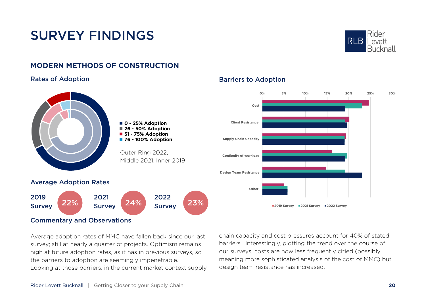

### **MODERN METHODS OF CONSTRUCTION**

#### Rates of Adoption **Barriers is a Rates of Adoption**



#### Commentary and Observations

Average adoption rates of MMC have fallen back since our last survey; still at nearly a quarter of projects. Optimism remains high at future adoption rates, as it has in previous surveys, so the barriers to adoption are seemingly impenetrable. Looking at those barriers, in the current market context supply chain capacity and cost pressures account for 40% of stated barriers. Interestingly, plotting the trend over the course of our surveys, costs are now less frequently citied (possibly meaning more sophisticated analysis of the cost of MMC) but design team resistance has increased.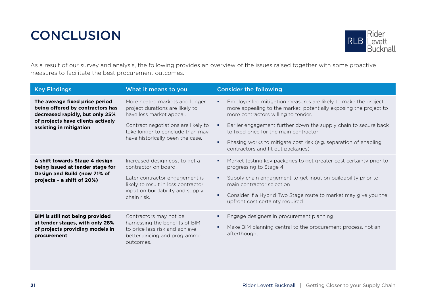### <span id="page-21-0"></span>**CONCLUSION**



As a result of our survey and analysis, the following provides an overview of the issues raised together with some proactive measures to facilitate the best procurement outcomes.

| <b>Key Findings</b>                                                                                   | What it means to you                                                                                                                    | <b>Consider the following</b>                                                                                                                                                    |
|-------------------------------------------------------------------------------------------------------|-----------------------------------------------------------------------------------------------------------------------------------------|----------------------------------------------------------------------------------------------------------------------------------------------------------------------------------|
| The average fixed price period<br>being offered by contractors has<br>decreased rapidly, but only 25% | More heated markets and longer<br>project durations are likely to<br>have less market appeal.                                           | Employer led mitigation measures are likely to make the project<br>٠<br>more appealing to the market, potentially exposing the project to<br>more contractors willing to tender. |
| of projects have clients actively<br>assisting in mitigation                                          | Contract negotiations are likely to<br>take longer to conclude than may<br>have historically been the case.                             | Earlier engagement further down the supply chain to secure back<br>٠<br>to fixed price for the main contractor                                                                   |
|                                                                                                       |                                                                                                                                         | Phasing works to mitigate cost risk (e.g. separation of enabling<br>٠<br>contractors and fit out packages)                                                                       |
| A shift towards Stage 4 design<br>being issued at tender stage for                                    | Increased design cost to get a<br>contractor on board.                                                                                  | Market testing key packages to get greater cost certainty prior to<br>٠<br>progressing to Stage 4                                                                                |
| Design and Build (now 71% of<br>projects - a shift of 20%)                                            | Later contractor engagement is<br>likely to result in less contractor<br>input on buildability and supply<br>chain risk.                | Supply chain engagement to get input on buildability prior to<br>٠<br>main contractor selection                                                                                  |
|                                                                                                       |                                                                                                                                         | Consider if a Hybrid Two Stage route to market may give you the<br>٠<br>upfront cost certainty required                                                                          |
| BIM is still not being provided<br>at tender stages, with only 28%                                    | Contractors may not be<br>harnessing the benefits of BIM<br>to price less risk and achieve<br>better pricing and programme<br>outcomes. | Engage designers in procurement planning                                                                                                                                         |
| of projects providing models in<br>procurement                                                        |                                                                                                                                         | Make BIM planning central to the procurement process, not an<br>٠<br>afterthought                                                                                                |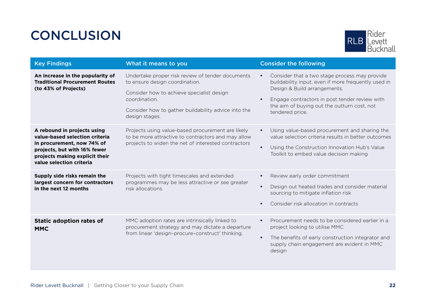### **CONCLUSION**



| <b>Key Findings</b>                                                                                                                                                                       | What it means to you                                                                                                                                                                                                      | <b>Consider the following</b>                                                                                                                                                                                                                                     |
|-------------------------------------------------------------------------------------------------------------------------------------------------------------------------------------------|---------------------------------------------------------------------------------------------------------------------------------------------------------------------------------------------------------------------------|-------------------------------------------------------------------------------------------------------------------------------------------------------------------------------------------------------------------------------------------------------------------|
| An increase in the popularity of<br><b>Traditional Procurement Routes</b><br>(to 43% of Projects)                                                                                         | Undertake proper risk review of tender documents<br>to ensure design coordination.<br>Consider how to achieve specialist design<br>coordination.<br>Consider how to gather buildability advice into the<br>design stages. | Consider that a two stage process may provide<br>٠<br>buildability input, even if more frequently used in<br>Design & Build arrangements.<br>Engage contractors in post tender review with<br>٠<br>the aim of buying out the outturn cost, not<br>tendered price. |
| A rebound in projects using<br>value-based selection criteria<br>in procurement, now 74% of<br>projects, but with 16% fewer<br>projects making explicit their<br>value selection criteria | Projects using value-based procurement are likely<br>to be more attractive to contractors and may allow<br>projects to widen the net of interested contractors                                                            | Using value-based procurement and sharing the<br>٠<br>value selection criteria results in better outcomes<br>Using the Construction Innovation Hub's Value<br>٠<br>Toolkit to embed value decision making                                                         |
| Supply side risks remain the<br>largest concern for contractors<br>in the next 12 months                                                                                                  | Projects with tight timescales and extended<br>programmes may be less attractive or see greater<br>risk allocations.                                                                                                      | Review early order commitment<br>٠<br>Design out heated trades and consider material<br>٠<br>sourcing to mitigate inflation risk<br>Consider risk allocation in contracts<br>٠                                                                                    |
| <b>Static adoption rates of</b><br><b>MMC</b>                                                                                                                                             | MMC adoption rates are intrinsically linked to<br>procurement strategy and may dictate a departure<br>from linear 'design-procure-construct' thinking.                                                                    | Procurement needs to be considered earlier in a<br>٠<br>project looking to utilise MMC<br>The benefits of early construction integrator and<br>٠<br>supply chain engagement are evident in MMC<br>design                                                          |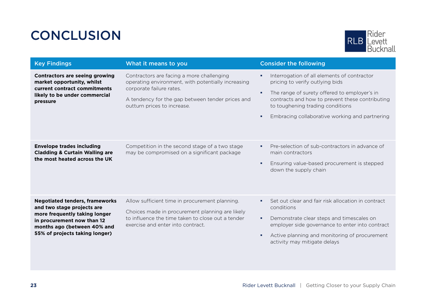### **CONCLUSION**



| <b>Key Findings</b>                                                                                                                                                                                 | What it means to you                                                                                                                                                                                           | <b>Consider the following</b>                                                                                                                                                                                                                                                          |
|-----------------------------------------------------------------------------------------------------------------------------------------------------------------------------------------------------|----------------------------------------------------------------------------------------------------------------------------------------------------------------------------------------------------------------|----------------------------------------------------------------------------------------------------------------------------------------------------------------------------------------------------------------------------------------------------------------------------------------|
| Contractors are seeing growing<br>market opportunity, whilst<br>current contract commitments<br>likely to be under commercial<br>pressure                                                           | Contractors are facing a more challenging<br>operating environment, with potentially increasing<br>corporate failure rates.<br>A tendency for the gap between tender prices and<br>outturn prices to increase. | Interrogation of all elements of contractor<br>٠<br>pricing to verify outlying bids<br>The range of surety offered to employer's in<br>٠<br>contracts and how to prevent these contributing<br>to toughening trading conditions<br>Embracing collaborative working and partnering<br>٠ |
| <b>Envelope trades including</b><br><b>Cladding &amp; Curtain Walling are</b><br>the most heated across the UK                                                                                      | Competition in the second stage of a two stage<br>may be compromised on a significant package                                                                                                                  | Pre-selection of sub-contractors in advance of<br>٠<br>main contractors<br>Ensuring value-based procurement is stepped<br>٠<br>down the supply chain                                                                                                                                   |
| <b>Negotiated tenders, frameworks</b><br>and two stage projects are<br>more frequently taking longer<br>in procurement now than 12<br>months ago (between 40% and<br>55% of projects taking longer) | Allow sufficient time in procurement planning.<br>Choices made in procurement planning are likely<br>to influence the time taken to close out a tender<br>exercise and enter into contract.                    | Set out clear and fair risk allocation in contract<br>٠<br>conditions<br>Demonstrate clear steps and timescales on<br>٠<br>employer side governance to enter into contract<br>Active planning and monitoring of procurement<br>٠<br>activity may mitigate delays                       |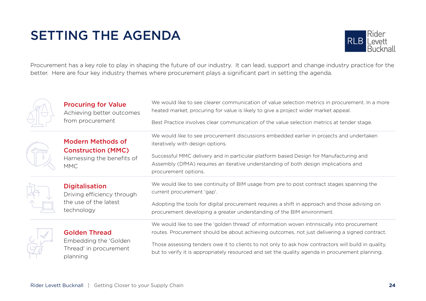### <span id="page-24-0"></span>SETTING THE AGENDA



Procurement has a key role to play in shaping the future of our industry. It can lead, support and change industry practice for the better. Here are four key industry themes where procurement plays a significant part in setting the agenda.

| <b>Procuring for Value</b><br>Achieving better outcomes<br>from procurement                       | We would like to see clearer communication of value selection metrics in procurement. In a more<br>heated market, procuring for value is likely to give a project wider market appeal.<br>Best Practice involves clear communication of the value selection metrics at tender stage.                                                                                                                     |
|---------------------------------------------------------------------------------------------------|----------------------------------------------------------------------------------------------------------------------------------------------------------------------------------------------------------------------------------------------------------------------------------------------------------------------------------------------------------------------------------------------------------|
| <b>Modern Methods of</b><br><b>Construction (MMC)</b><br>Harnessing the benefits of<br><b>MMC</b> | We would like to see procurement discussions embedded earlier in projects and undertaken<br>iteratively with design options.<br>Successful MMC delivery and in particular platform based Design for Manufacturing and<br>Assembly (DfMA) requires an iterative understanding of both design implications and<br>procurement options.                                                                     |
| <b>Digitalisation</b><br>Driving efficiency through<br>the use of the latest<br>technology        | We would like to see continuity of BIM usage from pre to post contract stages spanning the<br>current procurement 'gap'.<br>Adopting the tools for digital procurement requires a shift in approach and those advising on<br>procurement developing a greater understanding of the BIM environment.                                                                                                      |
| <b>Golden Thread</b><br>Embedding the 'Golden<br>Thread' in procurement<br>planning               | We would like to see the 'golden thread' of information woven intrinsically into procurement<br>routes. Procurement should be about achieving outcomes, not just delivering a signed contract.<br>Those assessing tenders owe it to clients to not only to ask how contractors will build in quality,<br>but to verify it is appropriately resourced and set the quality agenda in procurement planning. |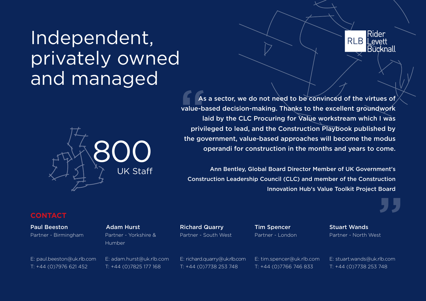## Independent, privately owned and managed





As<br>
value-b<br>
privi As a sector, we do not need to be convinced of the virtues of value-based decision-making. Thanks to the excellent groundwork laid by the CLC Procuring for Value workstream which I was privileged to lead, and the Construction Playbook published by the government, value-based approaches will become the modus operandi for construction in the months and years to come.

Ann Bentley, Global Board Director Member of UK Government's Construction Leadership Council (CLC) and member of the Construction Innovation Hub's Value Toolkit Project Board

#### **CONTACT**

Paul Beeston Partner - Birmingham Adam Hurst Partner - Yorkshire & Humber

E: paul.beeston@uk.rlb.com T: +44 (0)7976 621 452 E: adam.hurst@uk.rlb.com T: +44 (0)7825 177 168

Richard Quarry Partner - South West Tim Spencer Partner - London Stuart Wands Partner - North West

"<br>"<br>"

E: richard.quarry@uk.rlb.com T: +44 (0)7738 253 748

E: tim.spencer@uk.rlb.com T: +44 (0)7766 746 833

E: stuart.wands@uk.rlb.com T: +44 (0)7738 253 748